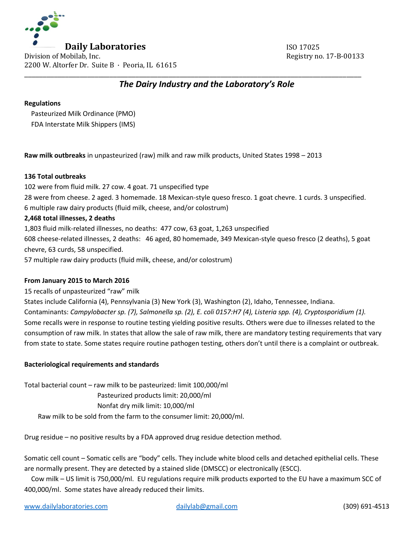

# *The Dairy Industry and the Laboratory's Role*

\_\_\_\_\_\_\_\_\_\_\_\_\_\_\_\_\_\_\_\_\_\_\_\_\_\_\_\_\_\_\_\_\_\_\_\_\_\_\_\_\_\_\_\_\_\_\_\_\_\_\_\_\_\_\_\_\_\_\_\_\_\_\_\_\_\_\_\_\_\_\_\_\_\_\_\_\_\_\_\_\_\_\_\_\_\_\_\_\_\_\_

#### **Regulations**

 Pasteurized Milk Ordinance (PMO) FDA Interstate Milk Shippers (IMS)

**Raw milk outbreaks** in unpasteurized (raw) milk and raw milk products, United States 1998 – 2013

## **136 Total outbreaks**

102 were from fluid milk. 27 cow. 4 goat. 71 unspecified type 28 were from cheese. 2 aged. 3 homemade. 18 Mexican-style queso fresco. 1 goat chevre. 1 curds. 3 unspecified. 6 multiple raw dairy products (fluid milk, cheese, and/or colostrum)

#### **2,468 total illnesses, 2 deaths**

1,803 fluid milk-related illnesses, no deaths: 477 cow, 63 goat, 1,263 unspecified 608 cheese-related illnesses, 2 deaths: 46 aged, 80 homemade, 349 Mexican-style queso fresco (2 deaths), 5 goat chevre, 63 curds, 58 unspecified. 57 multiple raw dairy products (fluid milk, cheese, and/or colostrum)

## **From January 2015 to March 2016**

15 recalls of unpasteurized "raw" milk

States include California (4), Pennsylvania (3) New York (3), Washington (2), Idaho, Tennessee, Indiana. Contaminants: *Campylobacter sp. (7), Salmonella sp. (2), E. coli 0157:H7 (4), Listeria spp. (4), Cryptosporidium (1).*  Some recalls were in response to routine testing yielding positive results. Others were due to illnesses related to the consumption of raw milk. In states that allow the sale of raw milk, there are mandatory testing requirements that vary from state to state. Some states require routine pathogen testing, others don't until there is a complaint or outbreak.

## **Bacteriological requirements and standards**

Total bacterial count – raw milk to be pasteurized: limit 100,000/ml Pasteurized products limit: 20,000/ml Nonfat dry milk limit: 10,000/ml Raw milk to be sold from the farm to the consumer limit: 20,000/ml.

Drug residue – no positive results by a FDA approved drug residue detection method.

Somatic cell count – Somatic cells are "body" cells. They include white blood cells and detached epithelial cells. These are normally present. They are detected by a stained slide (DMSCC) or electronically (ESCC).

 Cow milk – US limit is 750,000/ml. EU regulations require milk products exported to the EU have a maximum SCC of 400,000/ml. Some states have already reduced their limits.